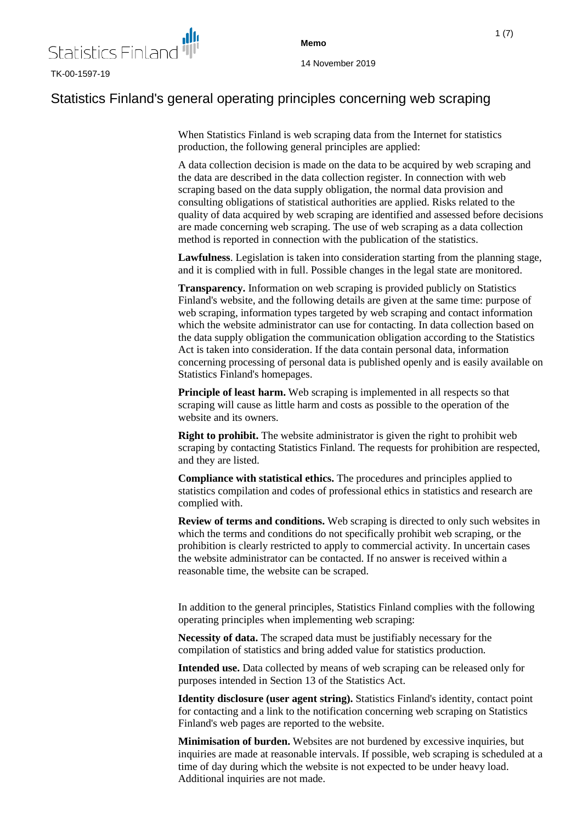

# Statistics Finland's general operating principles concerning web scraping

When Statistics Finland is web scraping data from the Internet for statistics production, the following general principles are applied:

A data collection decision is made on the data to be acquired by web scraping and the data are described in the data collection register. In connection with web scraping based on the data supply obligation, the normal data provision and consulting obligations of statistical authorities are applied. Risks related to the quality of data acquired by web scraping are identified and assessed before decisions are made concerning web scraping. The use of web scraping as a data collection method is reported in connection with the publication of the statistics.

**Lawfulness**. Legislation is taken into consideration starting from the planning stage, and it is complied with in full. Possible changes in the legal state are monitored.

**Transparency.** Information on web scraping is provided publicly on Statistics Finland's website, and the following details are given at the same time: purpose of web scraping, information types targeted by web scraping and contact information which the website administrator can use for contacting. In data collection based on the data supply obligation the communication obligation according to the Statistics Act is taken into consideration. If the data contain personal data, information concerning processing of personal data is published openly and is easily available on Statistics Finland's homepages.

**Principle of least harm.** Web scraping is implemented in all respects so that scraping will cause as little harm and costs as possible to the operation of the website and its owners.

**Right to prohibit.** The website administrator is given the right to prohibit web scraping by contacting Statistics Finland. The requests for prohibition are respected, and they are listed.

**Compliance with statistical ethics.** The procedures and principles applied to statistics compilation and codes of professional ethics in statistics and research are complied with.

**Review of terms and conditions.** Web scraping is directed to only such websites in which the terms and conditions do not specifically prohibit web scraping, or the prohibition is clearly restricted to apply to commercial activity. In uncertain cases the website administrator can be contacted. If no answer is received within a reasonable time, the website can be scraped.

In addition to the general principles, Statistics Finland complies with the following operating principles when implementing web scraping:

**Necessity of data.** The scraped data must be justifiably necessary for the compilation of statistics and bring added value for statistics production.

**Intended use.** Data collected by means of web scraping can be released only for purposes intended in Section 13 of the Statistics Act.

**Identity disclosure (user agent string).** Statistics Finland's identity, contact point for contacting and a link to the notification concerning web scraping on Statistics Finland's web pages are reported to the website.

**Minimisation of burden.** Websites are not burdened by excessive inquiries, but inquiries are made at reasonable intervals. If possible, web scraping is scheduled at a time of day during which the website is not expected to be under heavy load. Additional inquiries are not made.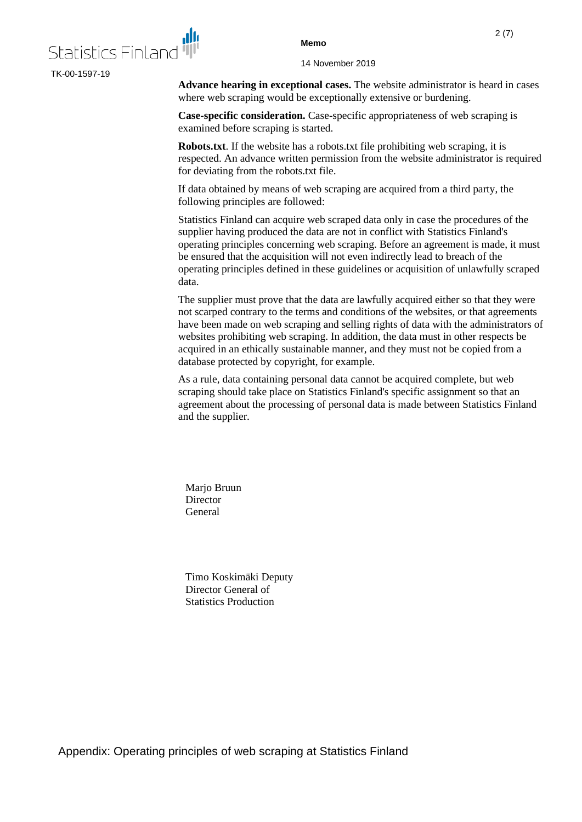

TK-00-1597-19

**Memo**

14 November 2019

**Advance hearing in exceptional cases.** The website administrator is heard in cases where web scraping would be exceptionally extensive or burdening.

**Case-specific consideration.** Case-specific appropriateness of web scraping is examined before scraping is started.

**Robots.txt**. If the website has a robots.txt file prohibiting web scraping, it is respected. An advance written permission from the website administrator is required for deviating from the robots.txt file.

If data obtained by means of web scraping are acquired from a third party, the following principles are followed:

Statistics Finland can acquire web scraped data only in case the procedures of the supplier having produced the data are not in conflict with Statistics Finland's operating principles concerning web scraping. Before an agreement is made, it must be ensured that the acquisition will not even indirectly lead to breach of the operating principles defined in these guidelines or acquisition of unlawfully scraped data.

The supplier must prove that the data are lawfully acquired either so that they were not scarped contrary to the terms and conditions of the websites, or that agreements have been made on web scraping and selling rights of data with the administrators of websites prohibiting web scraping. In addition, the data must in other respects be acquired in an ethically sustainable manner, and they must not be copied from a database protected by copyright, for example.

As a rule, data containing personal data cannot be acquired complete, but web scraping should take place on Statistics Finland's specific assignment so that an agreement about the processing of personal data is made between Statistics Finland and the supplier.

Marjo Bruun **Director** General

Timo Koskimäki Deputy Director General of Statistics Production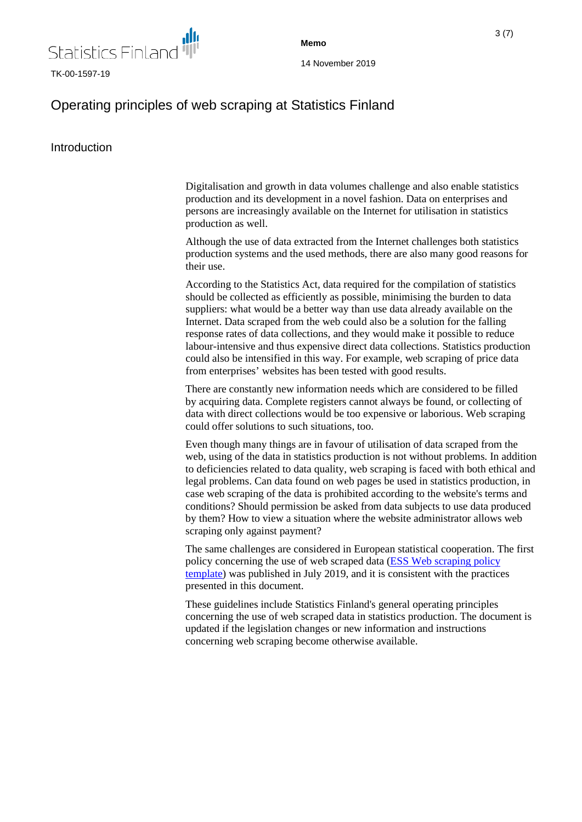

**Memo**

# Operating principles of web scraping at Statistics Finland

# Introduction

Digitalisation and growth in data volumes challenge and also enable statistics production and its development in a novel fashion. Data on enterprises and persons are increasingly available on the Internet for utilisation in statistics production as well.

Although the use of data extracted from the Internet challenges both statistics production systems and the used methods, there are also many good reasons for their use.

According to the Statistics Act, data required for the compilation of statistics should be collected as efficiently as possible, minimising the burden to data suppliers: what would be a better way than use data already available on the Internet. Data scraped from the web could also be a solution for the falling response rates of data collections, and they would make it possible to reduce labour-intensive and thus expensive direct data collections. Statistics production could also be intensified in this way. For example, web scraping of price data from enterprises' websites has been tested with good results.

There are constantly new information needs which are considered to be filled by acquiring data. Complete registers cannot always be found, or collecting of data with direct collections would be too expensive or laborious. Web scraping could offer solutions to such situations, too.

Even though many things are in favour of utilisation of data scraped from the web, using of the data in statistics production is not without problems. In addition to deficiencies related to data quality, web scraping is faced with both ethical and legal problems. Can data found on web pages be used in statistics production, in case web scraping of the data is prohibited according to the website's terms and conditions? Should permission be asked from data subjects to use data produced by them? How to view a situation where the website administrator allows web scraping only against payment?

The same challenges are considered in European statistical cooperation. The first policy concerning the use of web scraped data [\(ESS Web scraping policy](https://webgate.ec.europa.eu/fpfis/mwikis/essnetbigdata/images/0/0a/WPC_ESS_webscraping_policy_template.pdf) [template\)](https://webgate.ec.europa.eu/fpfis/mwikis/essnetbigdata/images/0/0a/WPC_ESS_webscraping_policy_template.pdf) was published in July 2019, and it is consistent with the practices presented in this document.

These guidelines include Statistics Finland's general operating principles concerning the use of web scraped data in statistics production. The document is updated if the legislation changes or new information and instructions concerning web scraping become otherwise available.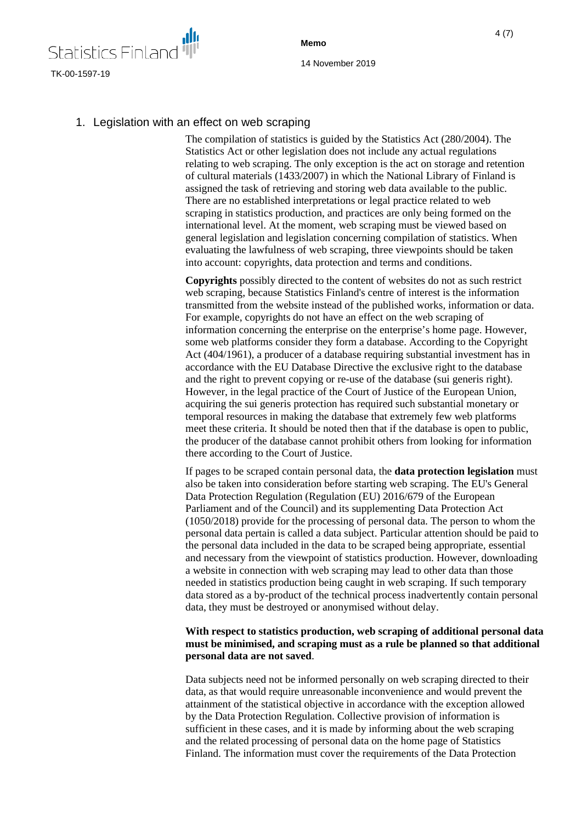

**Memo**

# 1. Legislation with an effect on web scraping

The compilation of statistics is guided by the Statistics Act (280/2004). The Statistics Act or other legislation does not include any actual regulations relating to web scraping. The only exception is the act on storage and retention of cultural materials (1433/2007) in which the National Library of Finland is assigned the task of retrieving and storing web data available to the public. There are no established interpretations or legal practice related to web scraping in statistics production, and practices are only being formed on the international level. At the moment, web scraping must be viewed based on general legislation and legislation concerning compilation of statistics. When evaluating the lawfulness of web scraping, three viewpoints should be taken into account: copyrights, data protection and terms and conditions.

**Copyrights** possibly directed to the content of websites do not as such restrict web scraping, because Statistics Finland's centre of interest is the information transmitted from the website instead of the published works, information or data. For example, copyrights do not have an effect on the web scraping of information concerning the enterprise on the enterprise's home page. However, some web platforms consider they form a database. According to the Copyright Act (404/1961), a producer of a database requiring substantial investment has in accordance with the EU Database Directive the exclusive right to the database and the right to prevent copying or re-use of the database (sui generis right). However, in the legal practice of the Court of Justice of the European Union, acquiring the sui generis protection has required such substantial monetary or temporal resources in making the database that extremely few web platforms meet these criteria. It should be noted then that if the database is open to public, the producer of the database cannot prohibit others from looking for information there according to the Court of Justice.

If pages to be scraped contain personal data, the **data protection legislation** must also be taken into consideration before starting web scraping. The EU's General Data Protection Regulation (Regulation (EU) 2016/679 of the European Parliament and of the Council) and its supplementing Data Protection Act (1050/2018) provide for the processing of personal data. The person to whom the personal data pertain is called a data subject. Particular attention should be paid to the personal data included in the data to be scraped being appropriate, essential and necessary from the viewpoint of statistics production. However, downloading a website in connection with web scraping may lead to other data than those needed in statistics production being caught in web scraping. If such temporary data stored as a by-product of the technical process inadvertently contain personal data, they must be destroyed or anonymised without delay.

#### **With respect to statistics production, web scraping of additional personal data must be minimised, and scraping must as a rule be planned so that additional personal data are not saved**.

Data subjects need not be informed personally on web scraping directed to their data, as that would require unreasonable inconvenience and would prevent the attainment of the statistical objective in accordance with the exception allowed by the Data Protection Regulation. Collective provision of information is sufficient in these cases, and it is made by informing about the web scraping and the related processing of personal data on the home page of Statistics Finland. The information must cover the requirements of the Data Protection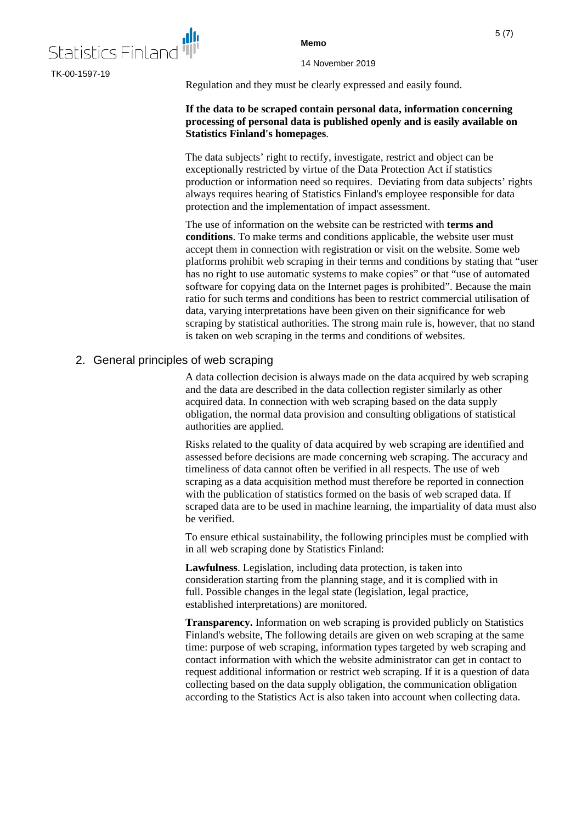

14 November 2019

Regulation and they must be clearly expressed and easily found.

#### **If the data to be scraped contain personal data, information concerning processing of personal data is published openly and is easily available on Statistics Finland's homepages**.

The data subjects' right to rectify, investigate, restrict and object can be exceptionally restricted by virtue of the Data Protection Act if statistics production or information need so requires. Deviating from data subjects' rights always requires hearing of Statistics Finland's employee responsible for data protection and the implementation of impact assessment.

The use of information on the website can be restricted with **terms and conditions**. To make terms and conditions applicable, the website user must accept them in connection with registration or visit on the website. Some web platforms prohibit web scraping in their terms and conditions by stating that "user has no right to use automatic systems to make copies" or that "use of automated software for copying data on the Internet pages is prohibited". Because the main ratio for such terms and conditions has been to restrict commercial utilisation of data, varying interpretations have been given on their significance for web scraping by statistical authorities. The strong main rule is, however, that no stand is taken on web scraping in the terms and conditions of websites.

### 2. General principles of web scraping

A data collection decision is always made on the data acquired by web scraping and the data are described in the data collection register similarly as other acquired data. In connection with web scraping based on the data supply obligation, the normal data provision and consulting obligations of statistical authorities are applied.

Risks related to the quality of data acquired by web scraping are identified and assessed before decisions are made concerning web scraping. The accuracy and timeliness of data cannot often be verified in all respects. The use of web scraping as a data acquisition method must therefore be reported in connection with the publication of statistics formed on the basis of web scraped data. If scraped data are to be used in machine learning, the impartiality of data must also be verified.

To ensure ethical sustainability, the following principles must be complied with in all web scraping done by Statistics Finland:

**Lawfulness**. Legislation, including data protection, is taken into consideration starting from the planning stage, and it is complied with in full. Possible changes in the legal state (legislation, legal practice, established interpretations) are monitored.

**Transparency.** Information on web scraping is provided publicly on Statistics Finland's website, The following details are given on web scraping at the same time: purpose of web scraping, information types targeted by web scraping and contact information with which the website administrator can get in contact to request additional information or restrict web scraping. If it is a question of data collecting based on the data supply obligation, the communication obligation according to the Statistics Act is also taken into account when collecting data.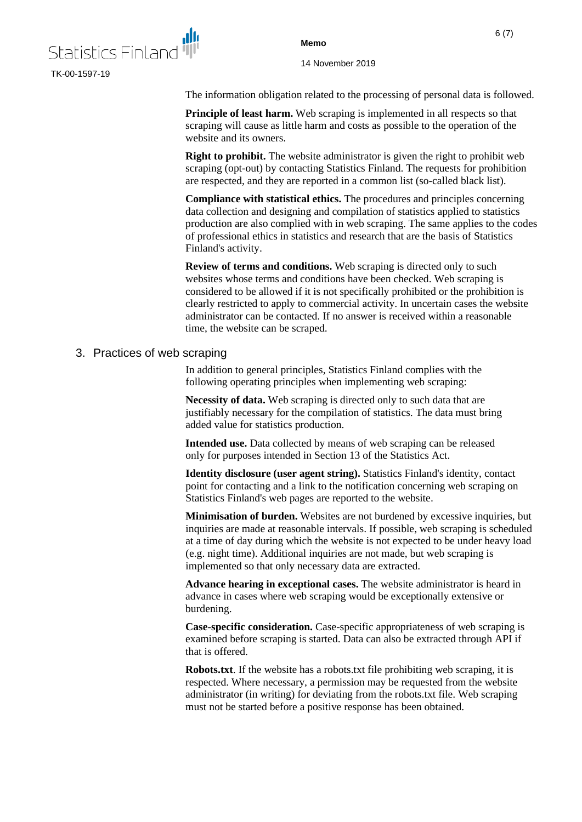

14 November 2019

The information obligation related to the processing of personal data is followed.

**Principle of least harm.** Web scraping is implemented in all respects so that scraping will cause as little harm and costs as possible to the operation of the website and its owners.

**Right to prohibit.** The website administrator is given the right to prohibit web scraping (opt-out) by contacting Statistics Finland. The requests for prohibition are respected, and they are reported in a common list (so-called black list).

**Compliance with statistical ethics.** The procedures and principles concerning data collection and designing and compilation of statistics applied to statistics production are also complied with in web scraping. The same applies to the codes of professional ethics in statistics and research that are the basis of Statistics Finland's activity.

**Review of terms and conditions.** Web scraping is directed only to such websites whose terms and conditions have been checked. Web scraping is considered to be allowed if it is not specifically prohibited or the prohibition is clearly restricted to apply to commercial activity. In uncertain cases the website administrator can be contacted. If no answer is received within a reasonable time, the website can be scraped.

#### 3. Practices of web scraping

In addition to general principles, Statistics Finland complies with the following operating principles when implementing web scraping:

**Necessity of data.** Web scraping is directed only to such data that are justifiably necessary for the compilation of statistics. The data must bring added value for statistics production.

**Intended use.** Data collected by means of web scraping can be released only for purposes intended in Section 13 of the Statistics Act.

**Identity disclosure (user agent string).** Statistics Finland's identity, contact point for contacting and a link to the notification concerning web scraping on Statistics Finland's web pages are reported to the website.

**Minimisation of burden.** Websites are not burdened by excessive inquiries, but inquiries are made at reasonable intervals. If possible, web scraping is scheduled at a time of day during which the website is not expected to be under heavy load (e.g. night time). Additional inquiries are not made, but web scraping is implemented so that only necessary data are extracted.

**Advance hearing in exceptional cases.** The website administrator is heard in advance in cases where web scraping would be exceptionally extensive or burdening.

**Case-specific consideration.** Case-specific appropriateness of web scraping is examined before scraping is started. Data can also be extracted through API if that is offered.

**Robots.txt**. If the website has a robots.txt file prohibiting web scraping, it is respected. Where necessary, a permission may be requested from the website administrator (in writing) for deviating from the robots.txt file. Web scraping must not be started before a positive response has been obtained.